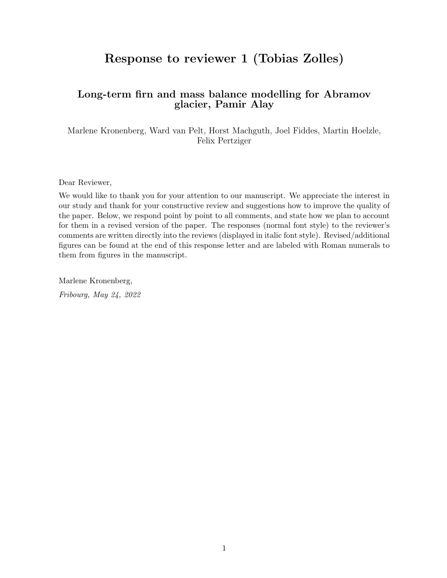# Response to reviewer 1 (Tobias Zolles)

#### Long-term firn and mass balance modelling for Abramov glacier, Pamir Alay

Marlene Kronenberg, Ward van Pelt, Horst Machguth, Joel Fiddes, Martin Hoelzle, Felix Pertziger

Dear Reviewer,

We would like to thank you for your attention to our manuscript. We appreciate the interest in our study and thank for your constructive review and suggestions how to improve the quality of the paper. Below, we respond point by point to all comments, and state how we plan to account for them in a revised version of the paper. The responses (normal font style) to the reviewer's comments are written directly into the reviews (displayed in italic font style). Revised/additional figures can be found at the end of this response letter and are labeled with Roman numerals to them from figures in the manuscript.

Marlene Kronenberg, Fribourg, May 24, 2022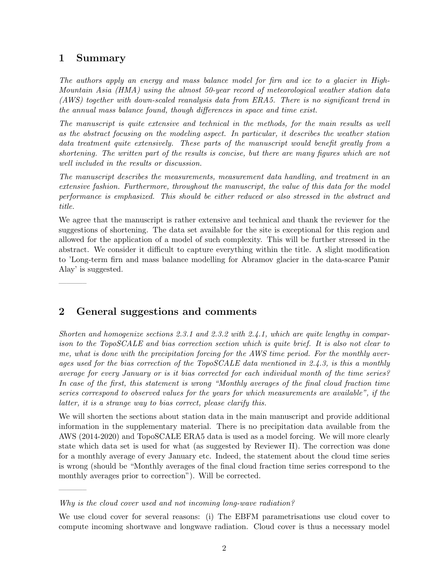### 1 Summary

———–

———–

The authors apply an energy and mass balance model for firn and ice to a glacier in High-Mountain Asia (HMA) using the almost 50-year record of meteorological weather station data (AWS) together with down-scaled reanalysis data from ERA5. There is no significant trend in the annual mass balance found, though differences in space and time exist.

The manuscript is quite extensive and technical in the methods, for the main results as well as the abstract focusing on the modeling aspect. In particular, it describes the weather station data treatment quite extensively. These parts of the manuscript would benefit greatly from a shortening. The written part of the results is concise, but there are many figures which are not well included in the results or discussion.

The manuscript describes the measurements, measurement data handling, and treatment in an extensive fashion. Furthermore, throughout the manuscript, the value of this data for the model performance is emphasized. This should be either reduced or also stressed in the abstract and title.

We agree that the manuscript is rather extensive and technical and thank the reviewer for the suggestions of shortening. The data set available for the site is exceptional for this region and allowed for the application of a model of such complexity. This will be further stressed in the abstract. We consider it difficult to capture everything within the title. A slight modification to 'Long-term firn and mass balance modelling for Abramov glacier in the data-scarce Pamir Alay' is suggested.

### 2 General suggestions and comments

Shorten and homogenize sections 2.3.1 and 2.3.2 with 2.4.1, which are quite lengthy in comparison to the TopoSCALE and bias correction section which is quite brief. It is also not clear to me, what is done with the precipitation forcing for the AWS time period. For the monthly averages used for the bias correction of the TopoSCALE data mentioned in 2.4.3, is this a monthly average for every January or is it bias corrected for each individual month of the time series? In case of the first, this statement is wrong "Monthly averages of the final cloud fraction time series correspond to observed values for the years for which measurements are available", if the latter, it is a strange way to bias correct, please clarify this.

We will shorten the sections about station data in the main manuscript and provide additional information in the supplementary material. There is no precipitation data available from the AWS (2014-2020) and TopoSCALE ERA5 data is used as a model forcing. We will more clearly state which data set is used for what (as suggested by Reviewer II). The correction was done for a monthly average of every January etc. Indeed, the statement about the cloud time series is wrong (should be "Monthly averages of the final cloud fraction time series correspond to the monthly averages prior to correction"). Will be corrected.

Why is the cloud cover used and not incoming long-wave radiation?

We use cloud cover for several reasons: (i) The EBFM parametrisations use cloud cover to compute incoming shortwave and longwave radiation. Cloud cover is thus a necessary model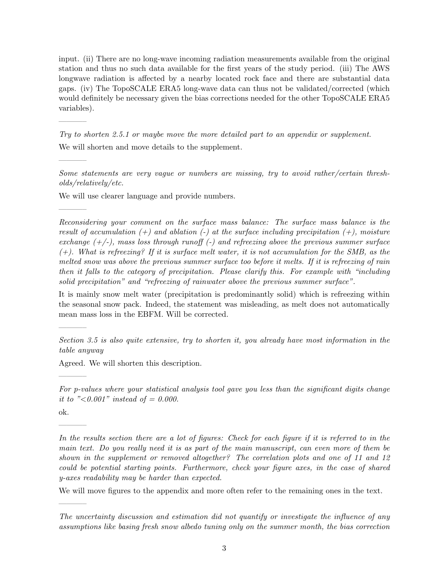input. (ii) There are no long-wave incoming radiation measurements available from the original station and thus no such data available for the first years of the study period. (iii) The AWS longwave radiation is affected by a nearby located rock face and there are substantial data gaps. (iv) The TopoSCALE ERA5 long-wave data can thus not be validated/corrected (which would definitely be necessary given the bias corrections needed for the other TopoSCALE ERA5 variables).

Try to shorten 2.5.1 or maybe move the more detailed part to an appendix or supplement. We will shorten and move details to the supplement.

Some statements are very vague or numbers are missing, try to avoid rather/certain thresholds/relatively/etc.

We will use clearer language and provide numbers.

Reconsidering your comment on the surface mass balance: The surface mass balance is the result of accumulation  $(+)$  and ablation  $(-)$  at the surface including precipitation  $(+)$ , moisture exchange  $(+/-)$ , mass loss through runoff  $(-)$  and refreezing above the previous summer surface  $(+)$ . What is refreezing? If it is surface melt water, it is not accumulation for the SMB, as the melted snow was above the previous summer surface too before it melts. If it is refreezing of rain then it falls to the category of precipitation. Please clarify this. For example with "including solid precipitation" and "refreezing of rainwater above the previous summer surface".

It is mainly snow melt water (precipitation is predominantly solid) which is refreezing within the seasonal snow pack. Indeed, the statement was misleading, as melt does not automatically mean mass loss in the EBFM. Will be corrected.

Section 3.5 is also quite extensive, try to shorten it, you already have most information in the table anyway

Agreed. We will shorten this description.

For p-values where your statistical analysis tool gave you less than the significant digits change it to "<0.001" instead of = 0.000.

ok.

———–

———–

———–

———–

———–

———–

———–

In the results section there are a lot of figures: Check for each figure if it is referred to in the main text. Do you really need it is as part of the main manuscript, can even more of them be shown in the supplement or removed altogether? The correlation plots and one of 11 and 12 could be potential starting points. Furthermore, check your figure axes, in the case of shared y-axes readability may be harder than expected.

We will move figures to the appendix and more often refer to the remaining ones in the text.

The uncertainty discussion and estimation did not quantify or investigate the influence of any assumptions like basing fresh snow albedo tuning only on the summer month, the bias correction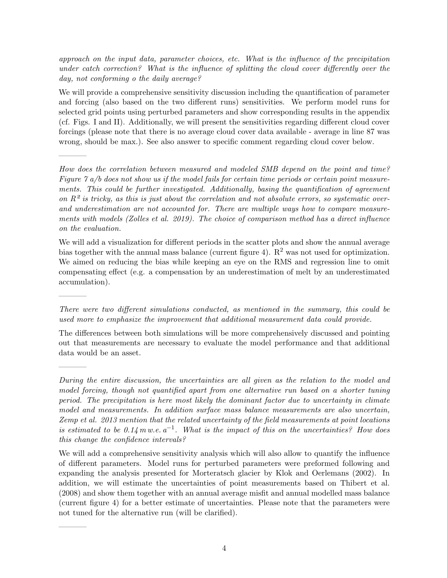approach on the input data, parameter choices, etc. What is the influence of the precipitation under catch correction? What is the influence of splitting the cloud cover differently over the day, not conforming o the daily average?

We will provide a comprehensive sensitivity discussion including the quantification of parameter and forcing (also based on the two different runs) sensitivities. We perform model runs for selected grid points using perturbed parameters and show corresponding results in the appendix (cf. Figs. I and II). Additionally, we will present the sensitivities regarding different cloud cover forcings (please note that there is no average cloud cover data available - average in line 87 was wrong, should be max.). See also answer to specific comment regarding cloud cover below.

———–

———–

———–

———–

How does the correlation between measured and modeled SMB depend on the point and time? Figure  $\gamma$  a/b does not show us if the model fails for certain time periods or certain point measurements. This could be further investigated. Additionally, basing the quantification of agreement on  $R^2$  is tricky, as this is just about the correlation and not absolute errors, so systematic overand underestimation are not accounted for. There are multiple ways how to compare measurements with models (Zolles et al. 2019). The choice of comparison method has a direct influence on the evaluation.

We will add a visualization for different periods in the scatter plots and show the annual average bias together with the annual mass balance (current figure 4).  $\mathbb{R}^2$  was not used for optimization. We aimed on reducing the bias while keeping an eye on the RMS and regression line to omit compensating effect (e.g. a compensation by an underestimation of melt by an underestimated accumulation).

The differences between both simulations will be more comprehensively discussed and pointing out that measurements are necessary to evaluate the model performance and that additional data would be an asset.

There were two different simulations conducted, as mentioned in the summary, this could be used more to emphasize the improvement that additional measurement data could provide.

During the entire discussion, the uncertainties are all given as the relation to the model and model forcing, though not quantified apart from one alternative run based on a shorter tuning period. The precipitation is here most likely the dominant factor due to uncertainty in climate model and measurements. In addition surface mass balance measurements are also uncertain, Zemp et al. 2013 mention that the related uncertainty of the field measurements at point locations is estimated to be  $0.14 \text{ m}.$  w.e.  $a^{-1}$ . What is the impact of this on the uncertainties? How does this change the confidence intervals?

We will add a comprehensive sensitivity analysis which will also allow to quantify the influence of different parameters. Model runs for perturbed parameters were preformed following and expanding the analysis presented for Morteratsch glacier by Klok and Oerlemans (2002). In addition, we will estimate the uncertainties of point measurements based on Thibert et al. (2008) and show them together with an annual average misfit and annual modelled mass balance (current figure 4) for a better estimate of uncertainties. Please note that the parameters were not tuned for the alternative run (will be clarified).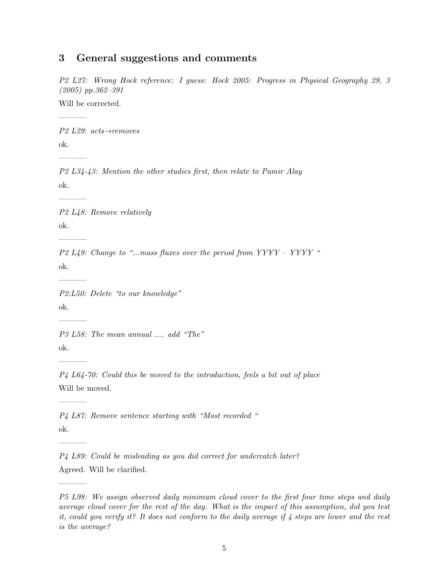#### 3 General suggestions and comments

P2 L27: Wrong Hock reference: I guess: Hock 2005: Progress in Physical Geography 29, 3 (2005) pp.362–391

Will be corrected.

———–

———–

———–

———–

———–

———–

———–

———–

———–

———–

P2 L29: acts→removes ok.

P2 L34-43: Mention the other studies first, then relate to Pamir Alay ok.

P2 L48: Remove relatively ok.

P2 L49: Change to "...mass fluxes over the period from  $YYYY - YYYY$ " ok.

P2:L50: Delete "to our knowledge" ok.

P3 L58: The mean annual .... add "The" ok.

P4 L64-70: Could this be moved to the introduction, feels a bit out of place Will be moved.

P4 L87: Remove sentence starting with "Most recorded " ok.

P4 L89: Could be misleading as you did correct for undercatch later? Agreed. Will be clarified.

P5 L98: We assign observed daily minimum cloud cover to the first four time steps and daily average cloud cover for the rest of the day. What is the impact of this assumption, did you test it, could you verify it? It does not conform to the daily average if 4 steps are lower and the rest is the average?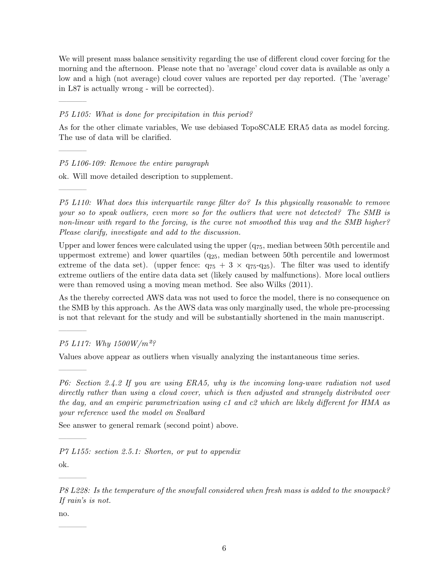We will present mass balance sensitivity regarding the use of different cloud cover forcing for the morning and the afternoon. Please note that no 'average' cloud cover data is available as only a low and a high (not average) cloud cover values are reported per day reported. (The 'average' in L87 is actually wrong - will be corrected).

#### P5 L105: What is done for precipitation in this period?

As for the other climate variables, We use debiased TopoSCALE ERA5 data as model forcing. The use of data will be clarified.

#### P5 L106-109: Remove the entire paragraph

———–

———–

———–

———–

———–

ok. Will move detailed description to supplement.

P5 L110: What does this interquartile range filter do? Is this physically reasonable to remove your so to speak outliers, even more so for the outliers that were not detected? The SMB is non-linear with regard to the forcing, is the curve not smoothed this way and the SMB higher? Please clarify, investigate and add to the discussion.

Upper and lower fences were calculated using the upper  $(q_{75}$ , median between 50th percentile and uppermost extreme) and lower quartiles  $(q_{25}$ , median between 50th percentile and lowermost extreme of the data set). (upper fence:  $q_{75} + 3 \times q_{75} - q_{25}$ ). The filter was used to identify extreme outliers of the entire data data set (likely caused by malfunctions). More local outliers were than removed using a moving mean method. See also Wilks (2011).

As the thereby corrected AWS data was not used to force the model, there is no consequence on the SMB by this approach. As the AWS data was only marginally used, the whole pre-processing is not that relevant for the study and will be substantially shortened in the main manuscript.

P5 L117: Why 1500W/m<sup>2</sup>?

Values above appear as outliers when visually analyzing the instantaneous time series.

P6: Section 2.4.2 If you are using ERA5, why is the incoming long-wave radiation not used directly rather than using a cloud cover, which is then adjusted and strangely distributed over the day, and an empiric parametrization using c1 and c2 which are likely different for HMA as your reference used the model on Svalbard

See answer to general remark (second point) above.

P7 L155: section 2.5.1: Shorten, or put to appendix

ok.

———–

———–

———–

P8 L228: Is the temperature of the snowfall considered when fresh mass is added to the snowpack? If rain's is not.

no.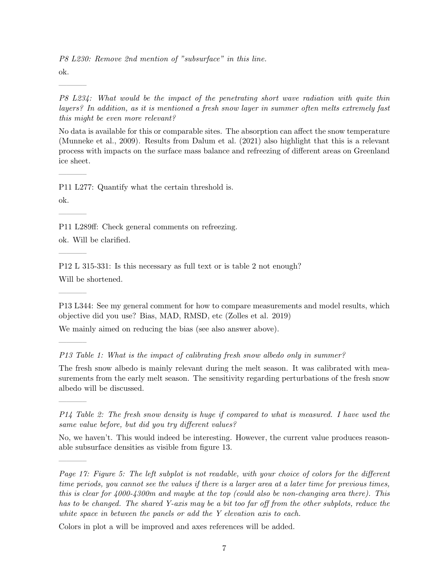P8 L230: Remove 2nd mention of "subsurface" in this line.

ok.

———–

P8 L234: What would be the impact of the penetrating short wave radiation with quite thin layers? In addition, as it is mentioned a fresh snow layer in summer often melts extremely fast this might be even more relevant?

No data is available for this or comparable sites. The absorption can affect the snow temperature (Munneke et al., 2009). Results from Dalum et al. (2021) also highlight that this is a relevant process with impacts on the surface mass balance and refreezing of different areas on Greenland ice sheet.

P11 L277: Quantify what the certain threshold is.

ok.

———–

———–

———–

———–

———–

———–

———–

P11 L289ff: Check general comments on refreezing.

ok. Will be clarified.

P12 L 315-331: Is this necessary as full text or is table 2 not enough? Will be shortened.

P13 L344: See my general comment for how to compare measurements and model results, which objective did you use? Bias, MAD, RMSD, etc (Zolles et al. 2019)

We mainly aimed on reducing the bias (see also answer above).

P13 Table 1: What is the impact of calibrating fresh snow albedo only in summer?

The fresh snow albedo is mainly relevant during the melt season. It was calibrated with measurements from the early melt season. The sensitivity regarding perturbations of the fresh snow albedo will be discussed.

P14 Table 2: The fresh snow density is huge if compared to what is measured. I have used the same value before, but did you try different values?

No, we haven't. This would indeed be interesting. However, the current value produces reasonable subsurface densities as visible from figure 13.

Page 17: Figure 5: The left subplot is not readable, with your choice of colors for the different time periods, you cannot see the values if there is a larger area at a later time for previous times, this is clear for 4000-4300m and maybe at the top (could also be non-changing area there). This has to be changed. The shared Y-axis may be a bit too far off from the other subplots, reduce the white space in between the panels or add the Y elevation axis to each.

Colors in plot a will be improved and axes references will be added.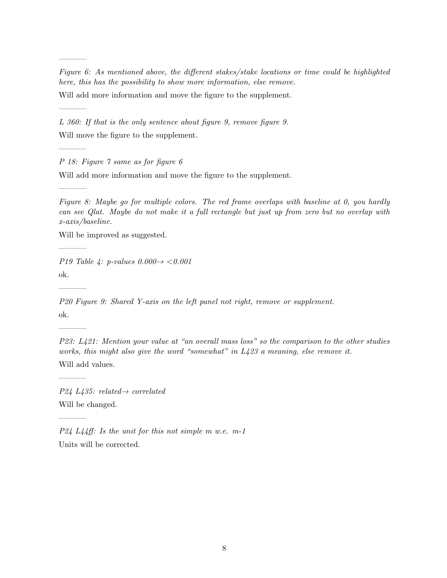Figure 6: As mentioned above, the different stakes/stake locations or time could be highlighted here, this has the possibility to show more information, else remove.

Will add more information and move the figure to the supplement.

L 360: If that is the only sentence about figure 9, remove figure 9. Will move the figure to the supplement.

P 18: Figure 7 same as for figure 6

———–

———–

———–

———–

———–

———–

———–

———–

———–

Will add more information and move the figure to the supplement.

Figure 8: Maybe go for multiple colors. The red frame overlaps with baseline at 0, you hardly can see Qlat. Maybe do not make it a full rectangle but just up from zero but no overlap with x-axis/baseline.

Will be improved as suggested.

P19 Table 4: p-values  $0.000 \rightarrow < 0.001$ ok.

P20 Figure 9: Shared Y-axis on the left panel not right, remove or supplement. ok.

P23: L421: Mention your value at "an overall mass loss" so the comparison to the other studies works, this might also give the word "somewhat" in  $L423$  a meaning, else remove it. Will add values.

 $P24 L435: related \rightarrow correlated$ Will be changed.

P24 L44ff: Is the unit for this not simple m w.e. m-1 Units will be corrected.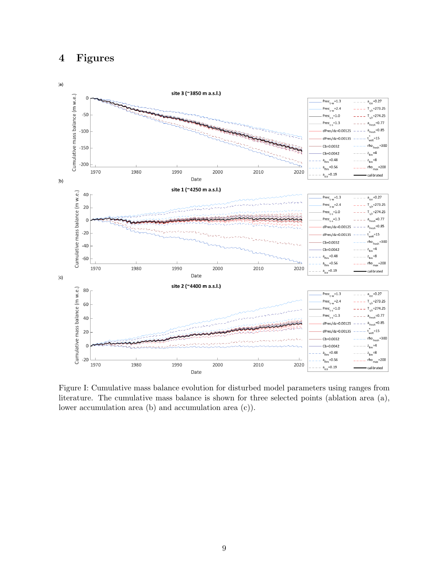## 4 Figures



Figure I: Cumulative mass balance evolution for disturbed model parameters using ranges from literature. The cumulative mass balance is shown for three selected points (ablation area (a), lower accumulation area (b) and accumulation area (c)).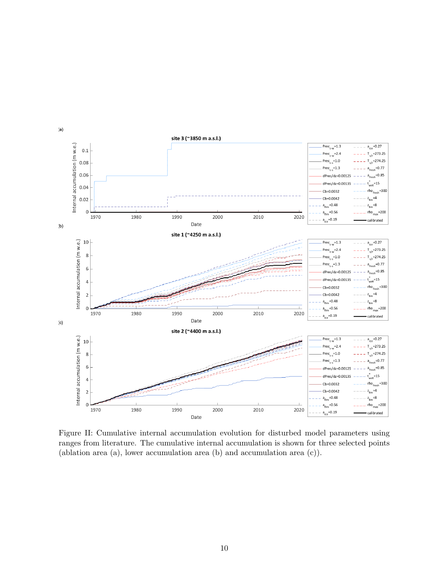

Figure II: Cumulative internal accumulation evolution for disturbed model parameters using ranges from literature. The cumulative internal accumulation is shown for three selected points (ablation area (a), lower accumulation area (b) and accumulation area (c)).